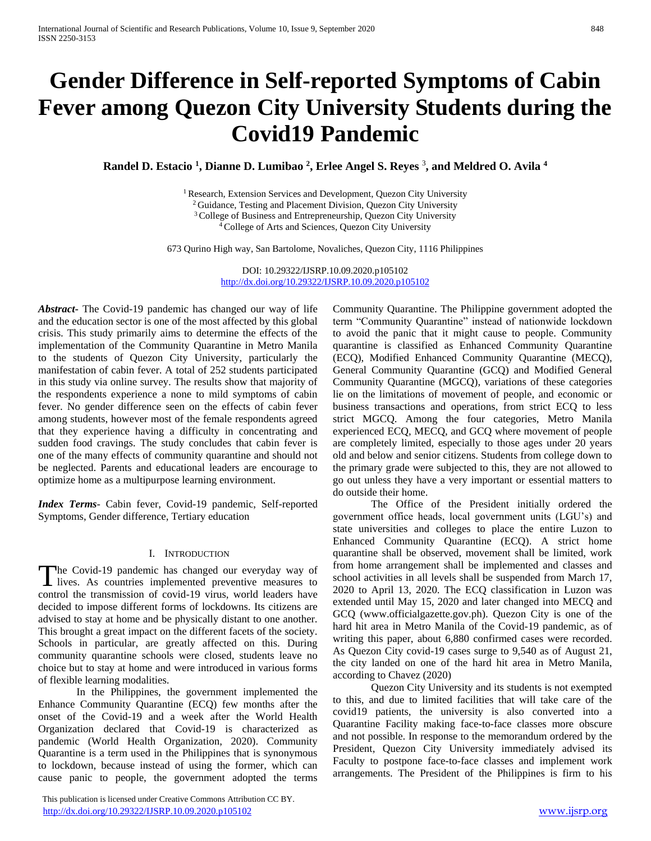# **Gender Difference in Self-reported Symptoms of Cabin Fever among Quezon City University Students during the Covid19 Pandemic**

**Randel D. Estacio <sup>1</sup> , Dianne D. Lumibao <sup>2</sup> , Erlee Angel S. Reyes** <sup>3</sup> **, and Meldred O. Avila <sup>4</sup>**

<sup>1</sup> Research, Extension Services and Development, Quezon City University <sup>2</sup> Guidance, Testing and Placement Division, Quezon City University <sup>3</sup> College of Business and Entrepreneurship, Quezon City University <sup>4</sup>College of Arts and Sciences, Quezon City University

673 Qurino High way, San Bartolome, Novaliches, Quezon City, 1116 Philippines

DOI: 10.29322/IJSRP.10.09.2020.p105102 <http://dx.doi.org/10.29322/IJSRP.10.09.2020.p105102>

*Abstract***-** The Covid-19 pandemic has changed our way of life and the education sector is one of the most affected by this global crisis. This study primarily aims to determine the effects of the implementation of the Community Quarantine in Metro Manila to the students of Quezon City University, particularly the manifestation of cabin fever. A total of 252 students participated in this study via online survey. The results show that majority of the respondents experience a none to mild symptoms of cabin fever. No gender difference seen on the effects of cabin fever among students, however most of the female respondents agreed that they experience having a difficulty in concentrating and sudden food cravings. The study concludes that cabin fever is one of the many effects of community quarantine and should not be neglected. Parents and educational leaders are encourage to optimize home as a multipurpose learning environment.

*Index Terms*- Cabin fever, Covid-19 pandemic, Self-reported Symptoms, Gender difference, Tertiary education

## I. INTRODUCTION

The Covid-19 pandemic has changed our everyday way of lives. As countries implemented preventive measures to **L** lives. As countries implemented preventive measures to control the transmission of covid-19 virus, world leaders have decided to impose different forms of lockdowns. Its citizens are advised to stay at home and be physically distant to one another. This brought a great impact on the different facets of the society. Schools in particular, are greatly affected on this. During community quarantine schools were closed, students leave no choice but to stay at home and were introduced in various forms of flexible learning modalities.

In the Philippines, the government implemented the Enhance Community Quarantine (ECQ) few months after the onset of the Covid-19 and a week after the World Health Organization declared that Covid-19 is characterized as pandemic (World Health Organization, 2020). Community Quarantine is a term used in the Philippines that is synonymous to lockdown, because instead of using the former, which can cause panic to people, the government adopted the terms

 This publication is licensed under Creative Commons Attribution CC BY. <http://dx.doi.org/10.29322/IJSRP.10.09.2020.p105102> [www.ijsrp.org](http://ijsrp.org/)

Community Quarantine. The Philippine government adopted the term "Community Quarantine" instead of nationwide lockdown to avoid the panic that it might cause to people. Community quarantine is classified as Enhanced Community Quarantine (ECQ), Modified Enhanced Community Quarantine (MECQ), General Community Quarantine (GCQ) and Modified General Community Quarantine (MGCQ), variations of these categories lie on the limitations of movement of people, and economic or business transactions and operations, from strict ECQ to less strict MGCQ. Among the four categories, Metro Manila experienced ECQ, MECQ, and GCQ where movement of people are completely limited, especially to those ages under 20 years old and below and senior citizens. Students from college down to the primary grade were subjected to this, they are not allowed to go out unless they have a very important or essential matters to do outside their home.

The Office of the President initially ordered the government office heads, local government units (LGU's) and state universities and colleges to place the entire Luzon to Enhanced Community Quarantine (ECQ). A strict home quarantine shall be observed, movement shall be limited, work from home arrangement shall be implemented and classes and school activities in all levels shall be suspended from March 17, 2020 to April 13, 2020. The ECQ classification in Luzon was extended until May 15, 2020 and later changed into MECQ and GCQ (www.officialgazette.gov.ph). Quezon City is one of the hard hit area in Metro Manila of the Covid-19 pandemic, as of writing this paper, about 6,880 confirmed cases were recorded. As Quezon City covid-19 cases surge to 9,540 as of August 21, the city landed on one of the hard hit area in Metro Manila, according to Chavez (2020)

Quezon City University and its students is not exempted to this, and due to limited facilities that will take care of the covid19 patients, the university is also converted into a Quarantine Facility making face-to-face classes more obscure and not possible. In response to the memorandum ordered by the President, Quezon City University immediately advised its Faculty to postpone face-to-face classes and implement work arrangements. The President of the Philippines is firm to his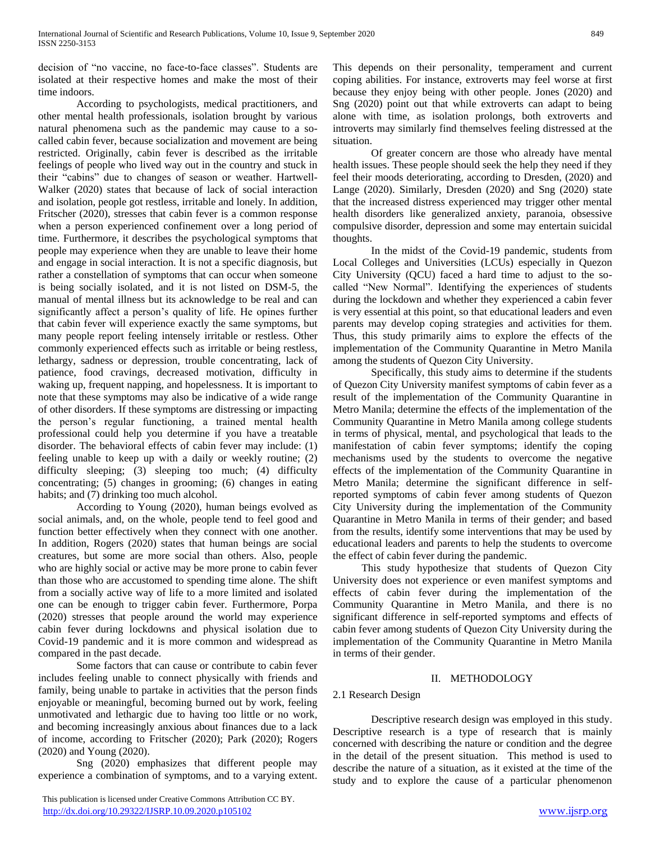decision of "no vaccine, no face-to-face classes". Students are isolated at their respective homes and make the most of their time indoors.

According to psychologists, medical practitioners, and other mental health professionals, isolation brought by various natural phenomena such as the pandemic may cause to a socalled cabin fever, because socialization and movement are being restricted. Originally, cabin fever is described as the irritable feelings of people who lived way out in the country and stuck in their "cabins" due to changes of season or weather. Hartwell-Walker (2020) states that because of lack of social interaction and isolation, people got restless, irritable and lonely. In addition, Fritscher (2020), stresses that cabin fever is a common response when a person experienced confinement over a long period of time. Furthermore, it describes the psychological symptoms that people may experience when they are unable to leave their home and engage in social interaction. It is not a specific diagnosis, but rather a constellation of symptoms that can occur when someone is being socially isolated, and it is not listed on DSM-5, the manual of mental illness but its acknowledge to be real and can significantly affect a person's quality of life. He opines further that cabin fever will experience exactly the same symptoms, but many people report feeling intensely irritable or restless. Other commonly experienced effects such as irritable or being restless, lethargy, sadness or depression, trouble concentrating, lack of patience, food cravings, decreased motivation, difficulty in waking up, frequent napping, and hopelessness. It is important to note that these symptoms may also be indicative of a wide range of other disorders. If these symptoms are distressing or impacting the person's regular functioning, a trained mental health professional could help you determine if you have a treatable disorder. The behavioral effects of cabin fever may include: (1) feeling unable to keep up with a daily or weekly routine; (2) difficulty sleeping; (3) sleeping too much; (4) difficulty concentrating; (5) changes in grooming; (6) changes in eating habits; and (7) drinking too much alcohol.

According to Young (2020), human beings evolved as social animals, and, on the whole, people tend to feel good and function better effectively when they connect with one another. In addition, Rogers (2020) states that human beings are social creatures, but some are more social than others. Also, people who are highly social or active may be more prone to cabin fever than those who are accustomed to spending time alone. The shift from a socially active way of life to a more limited and isolated one can be enough to trigger cabin fever. Furthermore, Porpa (2020) stresses that people around the world may experience cabin fever during lockdowns and physical isolation due to Covid-19 pandemic and it is more common and widespread as compared in the past decade.

Some factors that can cause or contribute to cabin fever includes feeling unable to connect physically with friends and family, being unable to partake in activities that the person finds enjoyable or meaningful, becoming burned out by work, feeling unmotivated and lethargic due to having too little or no work, and becoming increasingly anxious about finances due to a lack of income, according to Fritscher (2020); Park (2020); Rogers (2020) and Young (2020).

Sng (2020) emphasizes that different people may experience a combination of symptoms, and to a varying extent. This depends on their personality, temperament and current coping abilities. For instance, extroverts may feel worse at first because they enjoy being with other people. Jones (2020) and Sng (2020) point out that while extroverts can adapt to being alone with time, as isolation prolongs, both extroverts and introverts may similarly find themselves feeling distressed at the situation.

Of greater concern are those who already have mental health issues. These people should seek the help they need if they feel their moods deteriorating, according to Dresden, (2020) and Lange (2020). Similarly, Dresden (2020) and Sng (2020) state that the increased distress experienced may trigger other mental health disorders like generalized anxiety, paranoia, obsessive compulsive disorder, depression and some may entertain suicidal thoughts.

In the midst of the Covid-19 pandemic, students from Local Colleges and Universities (LCUs) especially in Quezon City University (QCU) faced a hard time to adjust to the socalled "New Normal". Identifying the experiences of students during the lockdown and whether they experienced a cabin fever is very essential at this point, so that educational leaders and even parents may develop coping strategies and activities for them. Thus, this study primarily aims to explore the effects of the implementation of the Community Quarantine in Metro Manila among the students of Quezon City University.

Specifically, this study aims to determine if the students of Quezon City University manifest symptoms of cabin fever as a result of the implementation of the Community Quarantine in Metro Manila; determine the effects of the implementation of the Community Quarantine in Metro Manila among college students in terms of physical, mental, and psychological that leads to the manifestation of cabin fever symptoms; identify the coping mechanisms used by the students to overcome the negative effects of the implementation of the Community Quarantine in Metro Manila; determine the significant difference in selfreported symptoms of cabin fever among students of Quezon City University during the implementation of the Community Quarantine in Metro Manila in terms of their gender; and based from the results, identify some interventions that may be used by educational leaders and parents to help the students to overcome the effect of cabin fever during the pandemic.

This study hypothesize that students of Quezon City University does not experience or even manifest symptoms and effects of cabin fever during the implementation of the Community Quarantine in Metro Manila, and there is no significant difference in self-reported symptoms and effects of cabin fever among students of Quezon City University during the implementation of the Community Quarantine in Metro Manila in terms of their gender.

## II. METHODOLOGY

## 2.1 Research Design

Descriptive research design was employed in this study. Descriptive research is a type of research that is mainly concerned with describing the nature or condition and the degree in the detail of the present situation. This method is used to describe the nature of a situation, as it existed at the time of the study and to explore the cause of a particular phenomenon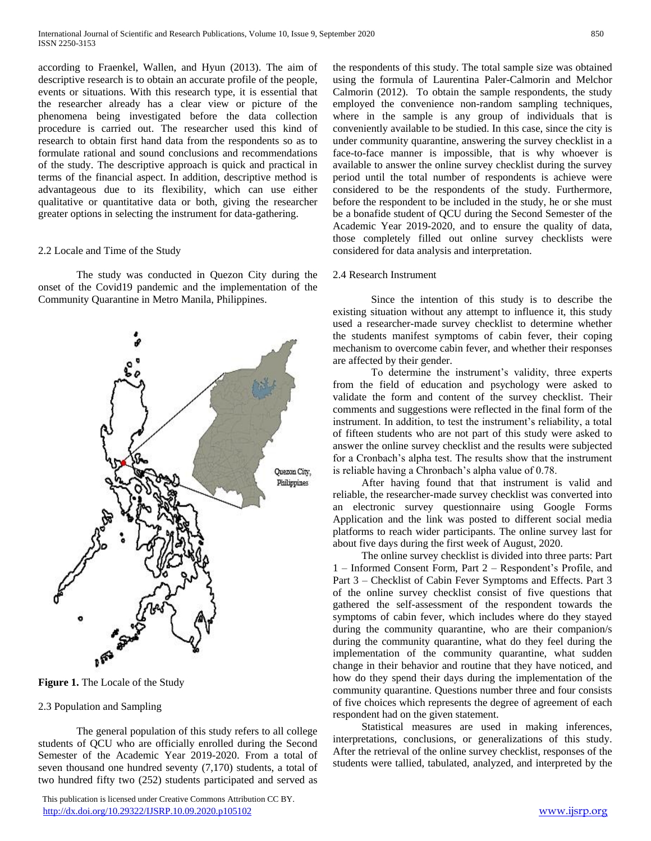according to Fraenkel, Wallen, and Hyun (2013). The aim of descriptive research is to obtain an accurate profile of the people, events or situations. With this research type, it is essential that the researcher already has a clear view or picture of the phenomena being investigated before the data collection procedure is carried out. The researcher used this kind of research to obtain first hand data from the respondents so as to formulate rational and sound conclusions and recommendations of the study. The descriptive approach is quick and practical in terms of the financial aspect. In addition, descriptive method is advantageous due to its flexibility, which can use either qualitative or quantitative data or both, giving the researcher greater options in selecting the instrument for data-gathering.

## 2.2 Locale and Time of the Study

The study was conducted in Quezon City during the onset of the Covid19 pandemic and the implementation of the Community Quarantine in Metro Manila, Philippines.



## 2.3 Population and Sampling

The general population of this study refers to all college students of QCU who are officially enrolled during the Second Semester of the Academic Year 2019-2020. From a total of seven thousand one hundred seventy (7,170) students, a total of two hundred fifty two (252) students participated and served as

 This publication is licensed under Creative Commons Attribution CC BY. <http://dx.doi.org/10.29322/IJSRP.10.09.2020.p105102> [www.ijsrp.org](http://ijsrp.org/)

the respondents of this study. The total sample size was obtained using the formula of Laurentina Paler-Calmorin and Melchor Calmorin (2012). To obtain the sample respondents, the study employed the convenience non-random sampling techniques, where in the sample is any group of individuals that is conveniently available to be studied. In this case, since the city is under community quarantine, answering the survey checklist in a face-to-face manner is impossible, that is why whoever is available to answer the online survey checklist during the survey period until the total number of respondents is achieve were considered to be the respondents of the study. Furthermore, before the respondent to be included in the study, he or she must be a bonafide student of QCU during the Second Semester of the Academic Year 2019-2020, and to ensure the quality of data, those completely filled out online survey checklists were considered for data analysis and interpretation.

## 2.4 Research Instrument

Since the intention of this study is to describe the existing situation without any attempt to influence it, this study used a researcher-made survey checklist to determine whether the students manifest symptoms of cabin fever, their coping mechanism to overcome cabin fever, and whether their responses are affected by their gender.

To determine the instrument's validity, three experts from the field of education and psychology were asked to validate the form and content of the survey checklist. Their comments and suggestions were reflected in the final form of the instrument. In addition, to test the instrument's reliability, a total of fifteen students who are not part of this study were asked to answer the online survey checklist and the results were subjected for a Cronbach's alpha test. The results show that the instrument is reliable having a Chronbach's alpha value of 0.78.

After having found that that instrument is valid and reliable, the researcher-made survey checklist was converted into an electronic survey questionnaire using Google Forms Application and the link was posted to different social media platforms to reach wider participants. The online survey last for about five days during the first week of August, 2020.

The online survey checklist is divided into three parts: Part 1 – Informed Consent Form, Part 2 – Respondent's Profile, and Part 3 – Checklist of Cabin Fever Symptoms and Effects. Part 3 of the online survey checklist consist of five questions that gathered the self-assessment of the respondent towards the symptoms of cabin fever, which includes where do they stayed during the community quarantine, who are their companion/s during the community quarantine, what do they feel during the implementation of the community quarantine, what sudden change in their behavior and routine that they have noticed, and how do they spend their days during the implementation of the community quarantine. Questions number three and four consists of five choices which represents the degree of agreement of each respondent had on the given statement.

Statistical measures are used in making inferences, interpretations, conclusions, or generalizations of this study. After the retrieval of the online survey checklist, responses of the students were tallied, tabulated, analyzed, and interpreted by the

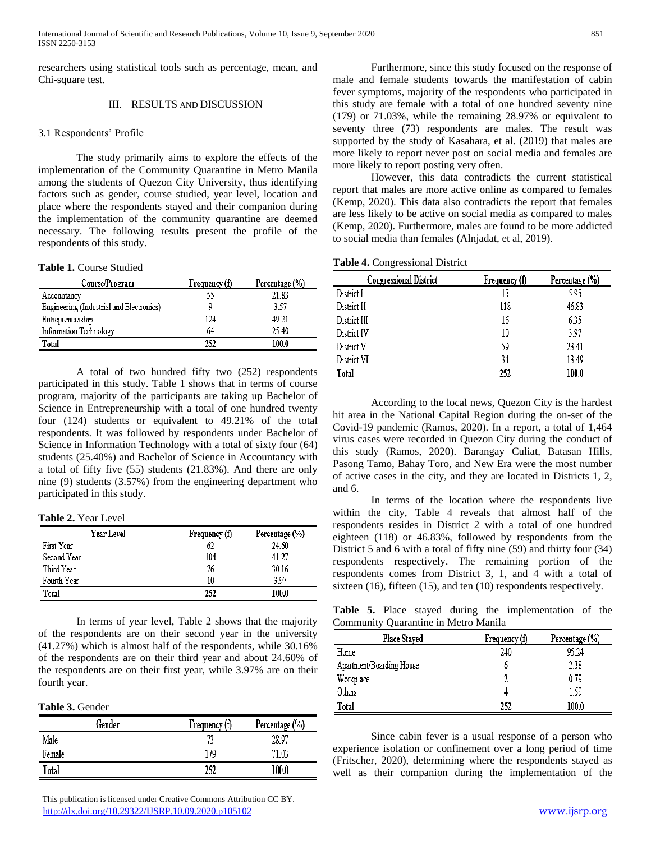researchers using statistical tools such as percentage, mean, and Chi-square test.

## III. RESULTS AND DISCUSSION

## 3.1 Respondents' Profile

The study primarily aims to explore the effects of the implementation of the Community Quarantine in Metro Manila among the students of Quezon City University, thus identifying factors such as gender, course studied, year level, location and place where the respondents stayed and their companion during the implementation of the community quarantine are deemed necessary. The following results present the profile of the respondents of this study.

### **Table 1.** Course Studied

| Course/Program                           | Frequency (f) | Percentage (%) |
|------------------------------------------|---------------|----------------|
| Accountancy                              | 55            | 21.83          |
| Engineering (Industrial and Electronics) |               | 3.57           |
| Entrepreneurship                         | 124           | 49.21          |
| Information Technology                   | 64            | 25.40          |
| Total                                    | 252           | 100.0          |

A total of two hundred fifty two (252) respondents participated in this study. Table 1 shows that in terms of course program, majority of the participants are taking up Bachelor of Science in Entrepreneurship with a total of one hundred twenty four (124) students or equivalent to 49.21% of the total respondents. It was followed by respondents under Bachelor of Science in Information Technology with a total of sixty four (64) students (25.40%) and Bachelor of Science in Accountancy with a total of fifty five (55) students (21.83%). And there are only nine (9) students (3.57%) from the engineering department who participated in this study.

**Table 2.** Year Level

| Year Level  | Frequency (f) | Percentage (%) |
|-------------|---------------|----------------|
| First Year  | 62            | 24.60          |
| Second Year | 104           | 41.27          |
| Third Year  | 76            | 30.16          |
| Fourth Year | 10            | 397            |
| Total       | 252           | 100.0          |

In terms of year level, Table 2 shows that the majority of the respondents are on their second year in the university (41.27%) which is almost half of the respondents, while 30.16% of the respondents are on their third year and about 24.60% of the respondents are on their first year, while 3.97% are on their fourth year.

## **Table 3.** Gender

| Gender | Frequency (f) | Percentage (%) |
|--------|---------------|----------------|
| Male   |               | 28.97          |
| Female | 179           | 71.03          |
| Total  | 252           | 100.0          |

 This publication is licensed under Creative Commons Attribution CC BY. <http://dx.doi.org/10.29322/IJSRP.10.09.2020.p105102> [www.ijsrp.org](http://ijsrp.org/)

Furthermore, since this study focused on the response of male and female students towards the manifestation of cabin fever symptoms, majority of the respondents who participated in this study are female with a total of one hundred seventy nine (179) or 71.03%, while the remaining 28.97% or equivalent to seventy three (73) respondents are males. The result was supported by the study of Kasahara, et al. (2019) that males are more likely to report never post on social media and females are more likely to report posting very often.

However, this data contradicts the current statistical report that males are more active online as compared to females (Kemp, 2020). This data also contradicts the report that females are less likely to be active on social media as compared to males (Kemp, 2020). Furthermore, males are found to be more addicted to social media than females (Alnjadat, et al, 2019).

**Table 4.** Congressional District

| <b>Congressional District</b> | Frequency (f) | Percentage (%) |
|-------------------------------|---------------|----------------|
| District I                    | 15            | 5.95           |
| District II                   | 118           | 46.83          |
| District III                  | 16            | 6.35           |
| District IV                   | 10            | 3.97           |
| District V                    | 59            | 23.41          |
| District VI                   | 34            | 13.49          |
| Total                         | 252           | 100.0          |

According to the local news, Quezon City is the hardest hit area in the National Capital Region during the on-set of the Covid-19 pandemic (Ramos, 2020). In a report, a total of 1,464 virus cases were recorded in Quezon City during the conduct of this study (Ramos, 2020). Barangay Culiat, Batasan Hills, Pasong Tamo, Bahay Toro, and New Era were the most number of active cases in the city, and they are located in Districts 1, 2, and 6.

In terms of the location where the respondents live within the city, Table 4 reveals that almost half of the respondents resides in District 2 with a total of one hundred eighteen (118) or 46.83%, followed by respondents from the District 5 and 6 with a total of fifty nine (59) and thirty four (34) respondents respectively. The remaining portion of the respondents comes from District 3, 1, and 4 with a total of sixteen (16), fifteen (15), and ten (10) respondents respectively.

**Table 5.** Place stayed during the implementation of the Community Quarantine in Metro Manila

| <b>Place Stayed</b>      | Frequency (f) | Percentage (%) |
|--------------------------|---------------|----------------|
| Home                     | 240           | 95.24          |
| Apartment/Boarding House | 0             | 2.38           |
| Workplace                |               | 0.79           |
| Others                   | 4             | 159            |
| Total                    | 252           | 100.0          |

Since cabin fever is a usual response of a person who experience isolation or confinement over a long period of time (Fritscher, 2020), determining where the respondents stayed as well as their companion during the implementation of the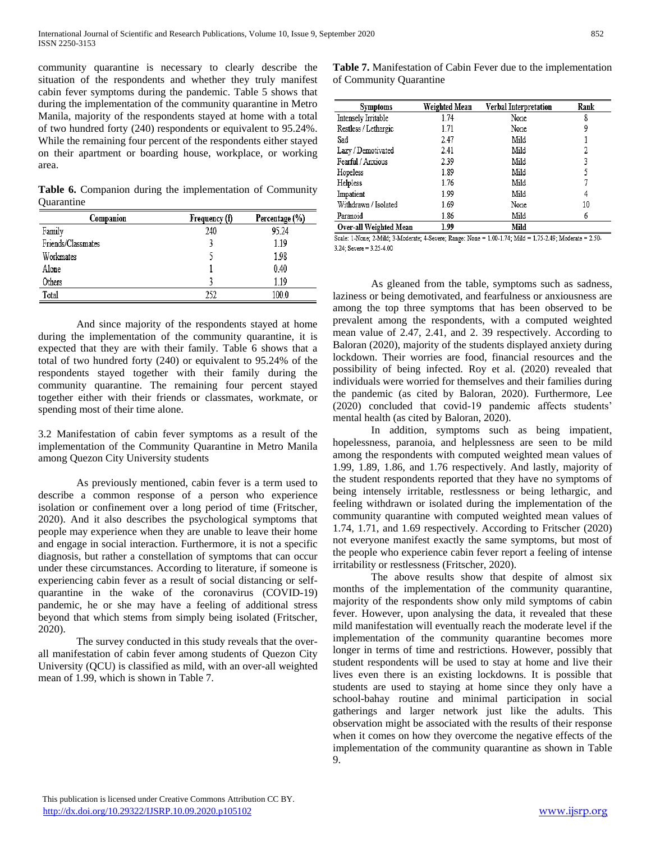community quarantine is necessary to clearly describe the situation of the respondents and whether they truly manifest cabin fever symptoms during the pandemic. Table 5 shows that during the implementation of the community quarantine in Metro Manila, majority of the respondents stayed at home with a total of two hundred forty (240) respondents or equivalent to 95.24%. While the remaining four percent of the respondents either stayed on their apartment or boarding house, workplace, or working area.

**Table 6.** Companion during the implementation of Community **Ouarantine** 

| Companion          | Frequency (f) | Percentage (%) |
|--------------------|---------------|----------------|
| Family             | 240           | 95 24          |
| Friends/Classmates |               | 1.19           |
| Workmates          |               | 1.98           |
| Alone              |               | 0.40           |
| Others             |               | 1.19           |
| Total              | 252           | 100.0          |

And since majority of the respondents stayed at home during the implementation of the community quarantine, it is expected that they are with their family. Table 6 shows that a total of two hundred forty (240) or equivalent to 95.24% of the respondents stayed together with their family during the community quarantine. The remaining four percent stayed together either with their friends or classmates, workmate, or spending most of their time alone.

3.2 Manifestation of cabin fever symptoms as a result of the implementation of the Community Quarantine in Metro Manila among Quezon City University students

As previously mentioned, cabin fever is a term used to describe a common response of a person who experience isolation or confinement over a long period of time (Fritscher, 2020). And it also describes the psychological symptoms that people may experience when they are unable to leave their home and engage in social interaction. Furthermore, it is not a specific diagnosis, but rather a constellation of symptoms that can occur under these circumstances. According to literature, if someone is experiencing cabin fever as a result of social distancing or selfquarantine in the wake of the coronavirus (COVID-19) pandemic, he or she may have a feeling of additional stress beyond that which stems from simply being isolated (Fritscher, 2020).

The survey conducted in this study reveals that the overall manifestation of cabin fever among students of Quezon City University (QCU) is classified as mild, with an over-all weighted mean of 1.99, which is shown in Table 7.

**Table 7.** Manifestation of Cabin Fever due to the implementation of Community Quarantine

| <b>Symptoms</b>        | Weighted Mean | Verbal Interpretation | Rank |
|------------------------|---------------|-----------------------|------|
| Intensely Irritable    | 1.74          | None                  | 8    |
| Restless / Lethargic   | 1.71          | None                  | 9    |
| Sad                    | 2.47          | Mild                  |      |
| Lazy / Demotivated     | 2.41          | Mild                  | 2    |
| Fearful / Anxious      | 2.39          | Mild                  | 3    |
| Hopeless               | 1.89          | Mild                  | 5    |
| Helpless               | 1.76          | Mild                  |      |
| Impatient              | 1.99          | Mild                  | 4    |
| Withdrawn / Isolated   | 1.69          | None                  | 10   |
| Paranoid               | 1.86          | Mild                  | 6    |
| Over-all Weighted Mean | 1.99          | Mild                  |      |

Over-all Weighted Mean 1.99

Scale: 1-None; 2-Mild; 3-Moderate; 4-Severe; Range: None = 1.00-1.74; Mild = 1.75-2.49; Moderate = 2.50- $3.24:$  Severe =  $3.25-4.00$ 

As gleaned from the table, symptoms such as sadness, laziness or being demotivated, and fearfulness or anxiousness are among the top three symptoms that has been observed to be prevalent among the respondents, with a computed weighted mean value of 2.47, 2.41, and 2. 39 respectively. According to Baloran (2020), majority of the students displayed anxiety during lockdown. Their worries are food, financial resources and the possibility of being infected. Roy et al. (2020) revealed that individuals were worried for themselves and their families during the pandemic (as cited by Baloran, 2020). Furthermore, Lee (2020) concluded that covid-19 pandemic affects students' mental health (as cited by Baloran, 2020).

In addition, symptoms such as being impatient, hopelessness, paranoia, and helplessness are seen to be mild among the respondents with computed weighted mean values of 1.99, 1.89, 1.86, and 1.76 respectively. And lastly, majority of the student respondents reported that they have no symptoms of being intensely irritable, restlessness or being lethargic, and feeling withdrawn or isolated during the implementation of the community quarantine with computed weighted mean values of 1.74, 1.71, and 1.69 respectively. According to Fritscher (2020) not everyone manifest exactly the same symptoms, but most of the people who experience cabin fever report a feeling of intense irritability or restlessness (Fritscher, 2020).

The above results show that despite of almost six months of the implementation of the community quarantine, majority of the respondents show only mild symptoms of cabin fever. However, upon analysing the data, it revealed that these mild manifestation will eventually reach the moderate level if the implementation of the community quarantine becomes more longer in terms of time and restrictions. However, possibly that student respondents will be used to stay at home and live their lives even there is an existing lockdowns. It is possible that students are used to staying at home since they only have a school-bahay routine and minimal participation in social gatherings and larger network just like the adults. This observation might be associated with the results of their response when it comes on how they overcome the negative effects of the implementation of the community quarantine as shown in Table 9.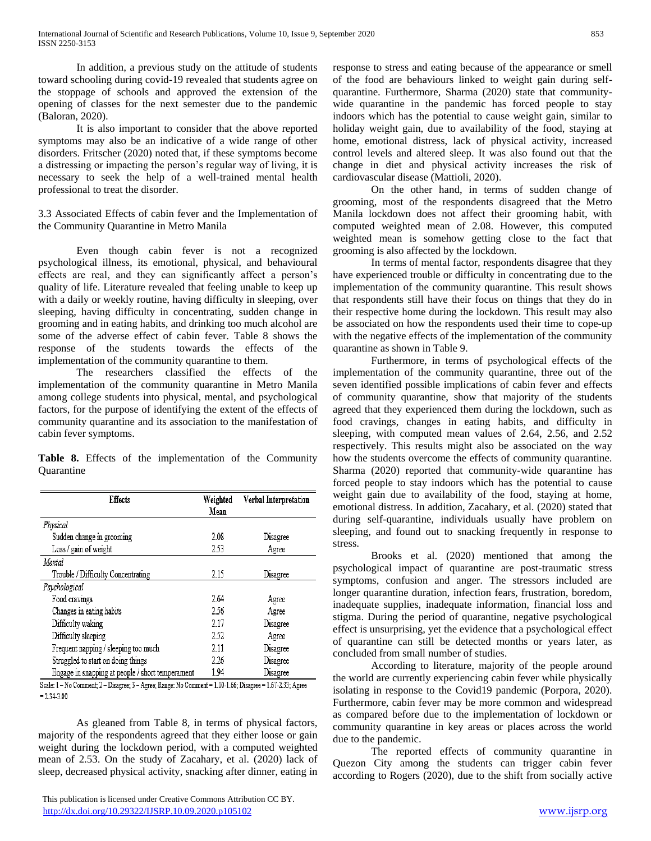In addition, a previous study on the attitude of students toward schooling during covid-19 revealed that students agree on the stoppage of schools and approved the extension of the opening of classes for the next semester due to the pandemic (Baloran, 2020).

It is also important to consider that the above reported symptoms may also be an indicative of a wide range of other disorders. Fritscher (2020) noted that, if these symptoms become a distressing or impacting the person's regular way of living, it is necessary to seek the help of a well-trained mental health professional to treat the disorder.

3.3 Associated Effects of cabin fever and the Implementation of the Community Quarantine in Metro Manila

Even though cabin fever is not a recognized psychological illness, its emotional, physical, and behavioural effects are real, and they can significantly affect a person's quality of life. Literature revealed that feeling unable to keep up with a daily or weekly routine, having difficulty in sleeping, over sleeping, having difficulty in concentrating, sudden change in grooming and in eating habits, and drinking too much alcohol are some of the adverse effect of cabin fever. Table 8 shows the response of the students towards the effects of the implementation of the community quarantine to them.

The researchers classified the effects of the implementation of the community quarantine in Metro Manila among college students into physical, mental, and psychological factors, for the purpose of identifying the extent of the effects of community quarantine and its association to the manifestation of cabin fever symptoms.

**Table 8.** Effects of the implementation of the Community **Quarantine** 

| <b>Effects</b>                                   | Weighted<br>Mean | Verbal Interpretation |
|--------------------------------------------------|------------------|-----------------------|
| Physical                                         |                  |                       |
| Sudden change in grooming                        | 2.08             | Disagree              |
| Loss / gain of weight                            | 2.53             | Agree                 |
| Mental                                           |                  |                       |
| Trouble / Difficulty Concentrating               | 2.15             | Disagree              |
| Psychological                                    |                  |                       |
| Food cravings                                    | 2.64             | Agree                 |
| Changes in eating habits                         | 2.56             | Agree                 |
| Difficulty waking                                | 2.17             | Disagree              |
| Difficulty sleeping                              | 2.52             | Agree                 |
| Frequent napping / sleeping too much             | 2.11             | Disagree              |
| Struggled to start on doing things               | 2.26             | Disagree              |
| Engage in snapping at people / short temperament | 1.94             | Disagree              |

Scale: 1-No Comment; 2-Disagree; 3-Agree; Range: No Comment = 1.00-1.66; Disagree = 1.67-2.33; Agree  $= 2.34 - 3.00$ 

As gleaned from Table 8, in terms of physical factors, majority of the respondents agreed that they either loose or gain weight during the lockdown period, with a computed weighted mean of 2.53. On the study of Zacahary, et al. (2020) lack of sleep, decreased physical activity, snacking after dinner, eating in

 This publication is licensed under Creative Commons Attribution CC BY. <http://dx.doi.org/10.29322/IJSRP.10.09.2020.p105102> [www.ijsrp.org](http://ijsrp.org/)

response to stress and eating because of the appearance or smell of the food are behaviours linked to weight gain during selfquarantine. Furthermore, Sharma (2020) state that communitywide quarantine in the pandemic has forced people to stay indoors which has the potential to cause weight gain, similar to holiday weight gain, due to availability of the food, staying at home, emotional distress, lack of physical activity, increased control levels and altered sleep. It was also found out that the change in diet and physical activity increases the risk of cardiovascular disease (Mattioli, 2020).

On the other hand, in terms of sudden change of grooming, most of the respondents disagreed that the Metro Manila lockdown does not affect their grooming habit, with computed weighted mean of 2.08. However, this computed weighted mean is somehow getting close to the fact that grooming is also affected by the lockdown.

In terms of mental factor, respondents disagree that they have experienced trouble or difficulty in concentrating due to the implementation of the community quarantine. This result shows that respondents still have their focus on things that they do in their respective home during the lockdown. This result may also be associated on how the respondents used their time to cope-up with the negative effects of the implementation of the community quarantine as shown in Table 9.

Furthermore, in terms of psychological effects of the implementation of the community quarantine, three out of the seven identified possible implications of cabin fever and effects of community quarantine, show that majority of the students agreed that they experienced them during the lockdown, such as food cravings, changes in eating habits, and difficulty in sleeping, with computed mean values of 2.64, 2.56, and 2.52 respectively. This results might also be associated on the way how the students overcome the effects of community quarantine. Sharma (2020) reported that community-wide quarantine has forced people to stay indoors which has the potential to cause weight gain due to availability of the food, staying at home, emotional distress. In addition, Zacahary, et al. (2020) stated that during self-quarantine, individuals usually have problem on sleeping, and found out to snacking frequently in response to stress.

Brooks et al. (2020) mentioned that among the psychological impact of quarantine are post-traumatic stress symptoms, confusion and anger. The stressors included are longer quarantine duration, infection fears, frustration, boredom, inadequate supplies, inadequate information, financial loss and stigma. During the period of quarantine, negative psychological effect is unsurprising, yet the evidence that a psychological effect of quarantine can still be detected months or years later, as concluded from small number of studies.

According to literature, majority of the people around the world are currently experiencing cabin fever while physically isolating in response to the Covid19 pandemic (Porpora, 2020). Furthermore, cabin fever may be more common and widespread as compared before due to the implementation of lockdown or community quarantine in key areas or places across the world due to the pandemic.

The reported effects of community quarantine in Quezon City among the students can trigger cabin fever according to Rogers (2020), due to the shift from socially active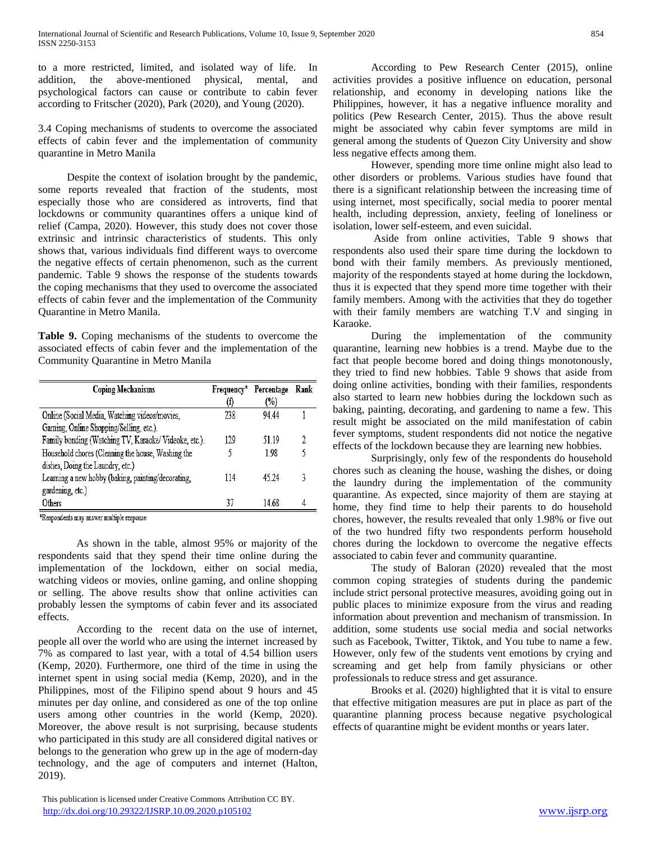to a more restricted, limited, and isolated way of life. In addition, the above-mentioned physical, mental, and psychological factors can cause or contribute to cabin fever according to Fritscher (2020), Park (2020), and Young (2020).

3.4 Coping mechanisms of students to overcome the associated effects of cabin fever and the implementation of community quarantine in Metro Manila

Despite the context of isolation brought by the pandemic, some reports revealed that fraction of the students, most especially those who are considered as introverts, find that lockdowns or community quarantines offers a unique kind of relief (Campa, 2020). However, this study does not cover those extrinsic and intrinsic characteristics of students. This only shows that, various individuals find different ways to overcome the negative effects of certain phenomenon, such as the current pandemic. Table 9 shows the response of the students towards the coping mechanisms that they used to overcome the associated effects of cabin fever and the implementation of the Community Quarantine in Metro Manila.

**Table 9.** Coping mechanisms of the students to overcome the associated effects of cabin fever and the implementation of the Community Quarantine in Metro Manila

| <b>Coping Mechanisms</b>                              | Frequency* | Percentage | Rank |
|-------------------------------------------------------|------------|------------|------|
|                                                       | (f)        | (%)        |      |
| Online (Social Media, Watching videos/movies,         | 238        | 94.44      |      |
| Gaming, Online Shopping/Selling, etc.).               |            |            |      |
| Family bonding (Watching TV, Karaoke/ Videoke, etc.). | 129        | 51.19      | 9    |
| Household chores (Cleaning the house, Washing the     |            | 1.98       |      |
| dishes, Doing the Laundry, etc.)                      |            |            |      |
| Learning a new hobby (baking, painting/decorating,    | 114        | 45 24      |      |
| gardening, etc.)                                      |            |            |      |
| Others                                                | 37         | 14.68      |      |

\*Respondents may answer multiple response

As shown in the table, almost 95% or majority of the respondents said that they spend their time online during the implementation of the lockdown, either on social media, watching videos or movies, online gaming, and online shopping or selling. The above results show that online activities can probably lessen the symptoms of cabin fever and its associated effects.

According to the recent data on the use of internet, people all over the world who are using the internet increased by 7% as compared to last year, with a total of 4.54 billion users (Kemp, 2020). Furthermore, one third of the time in using the internet spent in using social media (Kemp, 2020), and in the Philippines, most of the Filipino spend about 9 hours and 45 minutes per day online, and considered as one of the top online users among other countries in the world (Kemp, 2020). Moreover, the above result is not surprising, because students who participated in this study are all considered digital natives or belongs to the generation who grew up in the age of modern-day technology, and the age of computers and internet (Halton, 2019).

According to Pew Research Center (2015), online activities provides a positive influence on education, personal relationship, and economy in developing nations like the Philippines, however, it has a negative influence morality and politics (Pew Research Center, 2015). Thus the above result might be associated why cabin fever symptoms are mild in general among the students of Quezon City University and show less negative effects among them.

However, spending more time online might also lead to other disorders or problems. Various studies have found that there is a significant relationship between the increasing time of using internet, most specifically, social media to poorer mental health, including depression, anxiety, feeling of loneliness or isolation, lower self-esteem, and even suicidal.

Aside from online activities, Table 9 shows that respondents also used their spare time during the lockdown to bond with their family members. As previously mentioned, majority of the respondents stayed at home during the lockdown, thus it is expected that they spend more time together with their family members. Among with the activities that they do together with their family members are watching T.V and singing in Karaoke.

During the implementation of the community quarantine, learning new hobbies is a trend. Maybe due to the fact that people become bored and doing things monotonously, they tried to find new hobbies. Table 9 shows that aside from doing online activities, bonding with their families, respondents also started to learn new hobbies during the lockdown such as baking, painting, decorating, and gardening to name a few. This result might be associated on the mild manifestation of cabin fever symptoms, student respondents did not notice the negative effects of the lockdown because they are learning new hobbies.

Surprisingly, only few of the respondents do household chores such as cleaning the house, washing the dishes, or doing the laundry during the implementation of the community quarantine. As expected, since majority of them are staying at home, they find time to help their parents to do household chores, however, the results revealed that only 1.98% or five out of the two hundred fifty two respondents perform household chores during the lockdown to overcome the negative effects associated to cabin fever and community quarantine.

The study of Baloran (2020) revealed that the most common coping strategies of students during the pandemic include strict personal protective measures, avoiding going out in public places to minimize exposure from the virus and reading information about prevention and mechanism of transmission. In addition, some students use social media and social networks such as Facebook, Twitter, Tiktok, and You tube to name a few. However, only few of the students vent emotions by crying and screaming and get help from family physicians or other professionals to reduce stress and get assurance.

Brooks et al. (2020) highlighted that it is vital to ensure that effective mitigation measures are put in place as part of the quarantine planning process because negative psychological effects of quarantine might be evident months or years later.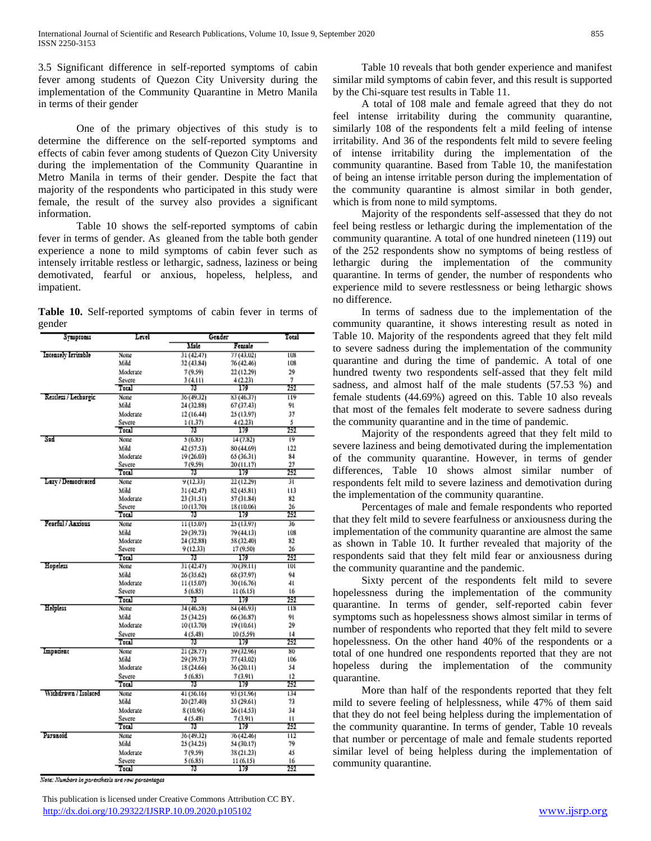3.5 Significant difference in self-reported symptoms of cabin fever among students of Quezon City University during the implementation of the Community Quarantine in Metro Manila in terms of their gender

One of the primary objectives of this study is to determine the difference on the self-reported symptoms and effects of cabin fever among students of Quezon City University during the implementation of the Community Quarantine in Metro Manila in terms of their gender. Despite the fact that majority of the respondents who participated in this study were female, the result of the survey also provides a significant information.

Table 10 shows the self-reported symptoms of cabin fever in terms of gender. As gleaned from the table both gender experience a none to mild symptoms of cabin fever such as intensely irritable restless or lethargic, sadness, laziness or being demotivated, fearful or anxious, hopeless, helpless, and impatient.

|        | Table 10. Self-reported symptoms of cabin fever in terms of |  |  |  |  |
|--------|-------------------------------------------------------------|--|--|--|--|
| gender |                                                             |  |  |  |  |

| Symptoms             | Level          | Gender     |            | Total            |
|----------------------|----------------|------------|------------|------------------|
|                      |                | Male       | Female     |                  |
| Intensely Irritable  | None           | 31 (42.47) | 77 (43.02) | LÚN              |
|                      | Mild           | 32 (43.84) | 76 (42.46) | 108              |
|                      | Moderate       | 7 (9.59)   | 22 (12.29) | 29               |
|                      | Severe         | 3 (4.11)   | 4(2.23)    | 7                |
|                      | Total          | 73         | 179        | 252              |
| Rescless / Lechargic | None           | 36 (49.32) | 83 (46,37) | 119              |
|                      | Mild           | 24 (32.88) | 67 (37.43) | 91               |
|                      | Moderate       | 12 (16.44) | 25 (13.97) | 37               |
|                      | Severe         | 1 (1.37)   | 4(2.23)    | 5                |
|                      | Total          | 73         | 179        | 252              |
| Sad                  | None           | 5 (6.85)   | 14 (7.82)  | 19               |
|                      | Mild           | 42 (57.53) | 80 (44.69) | 122              |
|                      | Moderate       | 19 (26.03) | 65 (36.31) | 84               |
|                      | Severe         | 7 (9.59)   | 20 (11.17) | 27               |
|                      | Total          | 73         | 179        | 252              |
| Lazy / Democivated   | None           | 9 (12.33)  | 22 (12.29) | ĩΓ               |
|                      | Mild           | 31 (42.47) | 82 (45.81) | Пâ               |
|                      | Moderate       | 23 (31.51) | 57 (31.84) | 82               |
|                      | Severe         | 10 (13.70) | 18 (10.06) | 26               |
|                      | Total          | 73         | 179        | 252              |
| Fearful / Anxious    | None           | 11 (15.07) | 25 (13.97) | 36               |
|                      | Mild           | 29 (39.73) | 79 (44.13) | 108              |
|                      | Moderate       | 24 (32.88) | 58 (32.40) | 82               |
|                      | Severe         | 9 (12.33)  | 17 (9.50)  | 26               |
|                      | Total          | 73         | 179        | 252              |
| Hopeless             | None           | 31 (42.47) | 70 (39.11) | w                |
|                      | Mild           | 26 (35.62) | 68 (37.97) | 94               |
|                      | Moderate       | 11 (15.07) | 30 (16.76) | 41               |
|                      | Severe         | 5 (6.85)   | 11 (6.15)  | 16               |
|                      | Total          | 73         | 179        | 252              |
| Helplass             | None           | 34 (46.58) | 84 (46.93) | $\overline{113}$ |
|                      | Mild           | 25 (34.25) | 66 (36.87) | 91               |
|                      | Moderate       | 10 (13.70) | 19 (10.61) | 29               |
|                      | Severe         | 4 (5.48)   | 10 (5.59)  | 14               |
|                      | Total          | 73         | 179        | 252              |
| Impatient            | None           | 21 (28.77) | 59 (32.961 | 8D               |
|                      | Mild           | 29 (39.73) | 77 (43.02) | 106              |
|                      | Moderate       | 18 (24.66) | 36(20.11)  | 54               |
|                      | Severe         | 5 (6.85)   | 7 (3.91)   | 12               |
|                      | Total          | 73         | 179        | 252              |
| Withdrawn / Isolated | None           | 41 (56.16) | 93 (51.96) | 134              |
|                      | Mild           | 20 (27.40) | 53 (29.61) | 73               |
|                      | Moderate       | 8 (10.96)  | 26 (14.53) | 34               |
|                      | Severe         | 4(5.48)    | 7 (3.91)   | и                |
|                      | $_{\rm Total}$ | 73         | 179        | 757              |
| Parancid             | None           | 36 (49.32) | 76 (42.46) | 112              |
|                      | Mild           | 25 (34.25) | 54 (30.17) | 79               |
|                      | Moderate       | 7 (9.59)   | 38 (21.23) | 45               |
|                      | Severe         | 5 (6,85)   | 11 (6.15)  | 16               |
|                      | Total          | 73         | 179        | 252              |

Note: Numbers in parenthesis are row parcentages

Table 10 reveals that both gender experience and manifest similar mild symptoms of cabin fever, and this result is supported by the Chi-square test results in Table 11.

A total of 108 male and female agreed that they do not feel intense irritability during the community quarantine, similarly 108 of the respondents felt a mild feeling of intense irritability. And 36 of the respondents felt mild to severe feeling of intense irritability during the implementation of the community quarantine. Based from Table 10, the manifestation of being an intense irritable person during the implementation of the community quarantine is almost similar in both gender, which is from none to mild symptoms.

Majority of the respondents self-assessed that they do not feel being restless or lethargic during the implementation of the community quarantine. A total of one hundred nineteen (119) out of the 252 respondents show no symptoms of being restless of lethargic during the implementation of the community quarantine. In terms of gender, the number of respondents who experience mild to severe restlessness or being lethargic shows no difference.

In terms of sadness due to the implementation of the community quarantine, it shows interesting result as noted in Table 10. Majority of the respondents agreed that they felt mild to severe sadness during the implementation of the community quarantine and during the time of pandemic. A total of one hundred twenty two respondents self-assed that they felt mild sadness, and almost half of the male students (57.53 %) and female students (44.69%) agreed on this. Table 10 also reveals that most of the females felt moderate to severe sadness during the community quarantine and in the time of pandemic.

Majority of the respondents agreed that they felt mild to severe laziness and being demotivated during the implementation of the community quarantine. However, in terms of gender differences, Table 10 shows almost similar number of respondents felt mild to severe laziness and demotivation during the implementation of the community quarantine.

Percentages of male and female respondents who reported that they felt mild to severe fearfulness or anxiousness during the implementation of the community quarantine are almost the same as shown in Table 10. It further revealed that majority of the respondents said that they felt mild fear or anxiousness during the community quarantine and the pandemic.

Sixty percent of the respondents felt mild to severe hopelessness during the implementation of the community quarantine. In terms of gender, self-reported cabin fever symptoms such as hopelessness shows almost similar in terms of number of respondents who reported that they felt mild to severe hopelessness. On the other hand 40% of the respondents or a total of one hundred one respondents reported that they are not hopeless during the implementation of the community quarantine.

More than half of the respondents reported that they felt mild to severe feeling of helplessness, while 47% of them said that they do not feel being helpless during the implementation of the community quarantine. In terms of gender, Table 10 reveals that number or percentage of male and female students reported similar level of being helpless during the implementation of community quarantine.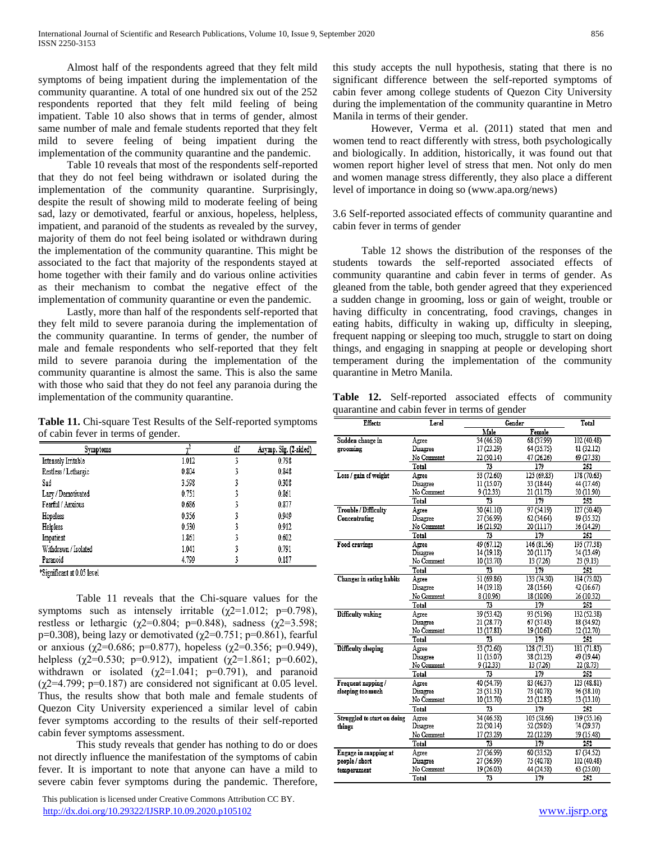Almost half of the respondents agreed that they felt mild symptoms of being impatient during the implementation of the community quarantine. A total of one hundred six out of the 252 respondents reported that they felt mild feeling of being impatient. Table 10 also shows that in terms of gender, almost same number of male and female students reported that they felt mild to severe feeling of being impatient during the implementation of the community quarantine and the pandemic.

Table 10 reveals that most of the respondents self-reported that they do not feel being withdrawn or isolated during the implementation of the community quarantine. Surprisingly, despite the result of showing mild to moderate feeling of being sad, lazy or demotivated, fearful or anxious, hopeless, helpless, impatient, and paranoid of the students as revealed by the survey, majority of them do not feel being isolated or withdrawn during the implementation of the community quarantine. This might be associated to the fact that majority of the respondents stayed at home together with their family and do various online activities as their mechanism to combat the negative effect of the implementation of community quarantine or even the pandemic.

Lastly, more than half of the respondents self-reported that they felt mild to severe paranoia during the implementation of the community quarantine. In terms of gender, the number of male and female respondents who self-reported that they felt mild to severe paranoia during the implementation of the community quarantine is almost the same. This is also the same with those who said that they do not feel any paranoia during the implementation of the community quarantine.

**Table 11.** Chi-square Test Results of the Self-reported symptoms of cabin fever in terms of gender.

| Symptoms             |       | df | Asymp. Sig. (2-sided) |
|----------------------|-------|----|-----------------------|
| Intensely Irritable  | 1.012 |    | 0.798                 |
| Restless / Lethargic | 0.804 |    | 0.848                 |
| Sad                  | 3.598 |    | 0.308                 |
| Lazy / Demotivated   | 0.751 |    | 0.861                 |
| Fearful / Anxious    | 0.686 |    | 0.877                 |
| Hopeless             | 0.356 |    | 0.949                 |
| Helpless             | 0.530 |    | 0.912                 |
| Impatient            | 1.861 |    | 0.602                 |
| Withdrawn / Isolated | 1.041 |    | 0.791                 |
| Paranoid             | 4.799 |    | 0.187                 |

\*Significant at 0.05 level

Table 11 reveals that the Chi-square values for the symptoms such as intensely irritable ( $\gamma$ 2=1.012; p=0.798), restless or lethargic ( $χ$ 2=0.804; p=0.848), sadness ( $χ$ 2=3.598; p=0.308), being lazy or demotivated ( $\chi$ 2=0.751; p=0.861), fearful or anxious (χ2=0.686; p=0.877), hopeless (χ2=0.356; p=0.949), helpless ( $\chi$ 2=0.530; p=0.912), impatient ( $\chi$ 2=1.861; p=0.602), withdrawn or isolated  $(\chi2=1.041; \rho=0.791)$ , and paranoid  $(\chi2=4.799; p=0.187)$  are considered not significant at 0.05 level. Thus, the results show that both male and female students of Quezon City University experienced a similar level of cabin fever symptoms according to the results of their self-reported cabin fever symptoms assessment.

This study reveals that gender has nothing to do or does not directly influence the manifestation of the symptoms of cabin fever. It is important to note that anyone can have a mild to severe cabin fever symptoms during the pandemic. Therefore,

 This publication is licensed under Creative Commons Attribution CC BY. <http://dx.doi.org/10.29322/IJSRP.10.09.2020.p105102> [www.ijsrp.org](http://ijsrp.org/)

this study accepts the null hypothesis, stating that there is no significant difference between the self-reported symptoms of cabin fever among college students of Quezon City University during the implementation of the community quarantine in Metro Manila in terms of their gender.

However, Verma et al. (2011) stated that men and women tend to react differently with stress, both psychologically and biologically. In addition, historically, it was found out that women report higher level of stress that men. Not only do men and women manage stress differently, they also place a different level of importance in doing so (www.apa.org/news)

3.6 Self-reported associated effects of community quarantine and cabin fever in terms of gender

Table 12 shows the distribution of the responses of the students towards the self-reported associated effects of community quarantine and cabin fever in terms of gender. As gleaned from the table, both gender agreed that they experienced a sudden change in grooming, loss or gain of weight, trouble or having difficulty in concentrating, food cravings, changes in eating habits, difficulty in waking up, difficulty in sleeping, frequent napping or sleeping too much, struggle to start on doing things, and engaging in snapping at people or developing short temperament during the implementation of the community quarantine in Metro Manila.

**Table 12.** Self-reported associated effects of community quarantine and cabin fever in terms of gender

| Effects                     | Level      |            | Gender      |             |  |
|-----------------------------|------------|------------|-------------|-------------|--|
|                             |            | Male       | Female      |             |  |
| Sudden change in            | Agree      | 34 (46.58) | 68 (37.99)  | 102 (40.48) |  |
| grooming                    | Disagree   | 17 (23.29) | 64 (35.75)  | 81 (32.12)  |  |
|                             | No Comment | 22 (30.14) | 47 (26.26)  | 69 (27.38)  |  |
|                             | Total      | 73         | 179         | 252         |  |
| Loss / gain of weight       | Agree      | 53 (72.60) | 125 (69.83) | 178 (70.63) |  |
|                             | Disagree   | 11 (15.07) | 33 (18.44)  | 44 (17.46)  |  |
|                             | No Comment | 9(12.33)   | 21 (11.73)  | 30 (11.90)  |  |
|                             | Total      | 73         | 179         | 252         |  |
| <b>Trouble / Difficulty</b> | Agree      | 30 (41.10) | 97 (54.19)  | 127 (50.40) |  |
| Concentrating               | Disagree   | 27 (36.99) | 62 (34.64)  | 89 (35.32)  |  |
|                             | No Comment | 16 (21.92) | 20 (11.17)  | 36 (14.29)  |  |
|                             | Total      | 73         | 179         | 252         |  |
| Food cravings               | Agree      | 49 (67.12) | 146 (81.56) | 195 (77.38) |  |
|                             | Disagree   | 14 (19.18) | 20 (11.17)  | 34 (13.49)  |  |
|                             | No Comment | 10 (13.70) | 13 (7.26)   | 23 (9.13)   |  |
|                             | Total      | 73         | 179         | 252         |  |
| Changes in eating habits    | Agree      | 51 (69.86) | 133 (74.30) | 184 (73.02) |  |
|                             | Disagree   | 14 (19.18) | 28 (15.64)  | 42 (16.67)  |  |
|                             | No Comment | 8 (10.96)  | 18 (10.06)  | 26 (10.32)  |  |
|                             | Total      | 73         | 179         | 252         |  |
| Difficulty waking           | Agree      | 39 (53.42) | 93 (51.96)  | 132 (52.38) |  |
|                             | Disagree   | 21 (28.77) | 67 (37.43)  | 88 (34.92)  |  |
|                             | No Comment | 13 (17.81) | 19 (10.61)  | 32 (12.70)  |  |
|                             | Total      | 73         | 179         | 252         |  |
| Difficulty sleeping         | Agree      | 53 (72.60) | 128 (71.51) | 181 (71.83) |  |
|                             | Disagree   | 11 (15.07) | 38 (21.23)  | 49 (19.44)  |  |
|                             | No Comment | 9 (12.33)  | 13 (7.26)   | 22(8.73)    |  |
|                             | Total      | 73         | 179         | 252         |  |
| Frequent napping/           | Agree      | 40 (54.79) | 83 (46.37)  | 123 (48.81) |  |
| sleeping too much           | Disagree   | 23 (31.51) | 73 (40.78)  | 96 (38.10)  |  |
|                             | No Comment | 10 (13.70) | 23 (12.85)  | 33 (13.10)  |  |
|                             | Total      | 73         | 179         | 252         |  |
| Struggled to start on doing | Asree      | 34 (46.58) | 105 (58.66) | 139 (55.16) |  |
| things                      | Disagree   | 22 (30.14) | 52 (29.05)  | 74 (29.37)  |  |
|                             | No Comment | 17 (23.29) | 22 (12.29)  | 39 (15.48)  |  |
|                             | Total      | 73         | 179         | 252         |  |
| Engage in snapping at       | Agree      | 27 (36.99) | 60 (33.52)  | 87 (34.52)  |  |
| people / short              | Disagree   | 27 (36.99) | 75 (40.78)  | 102 (40.48) |  |
| temperament                 | No Comment | 19 (26.03) | 44 (24.58)  | 63 (25.00)  |  |
|                             | Total      | 73         | 179         | 252         |  |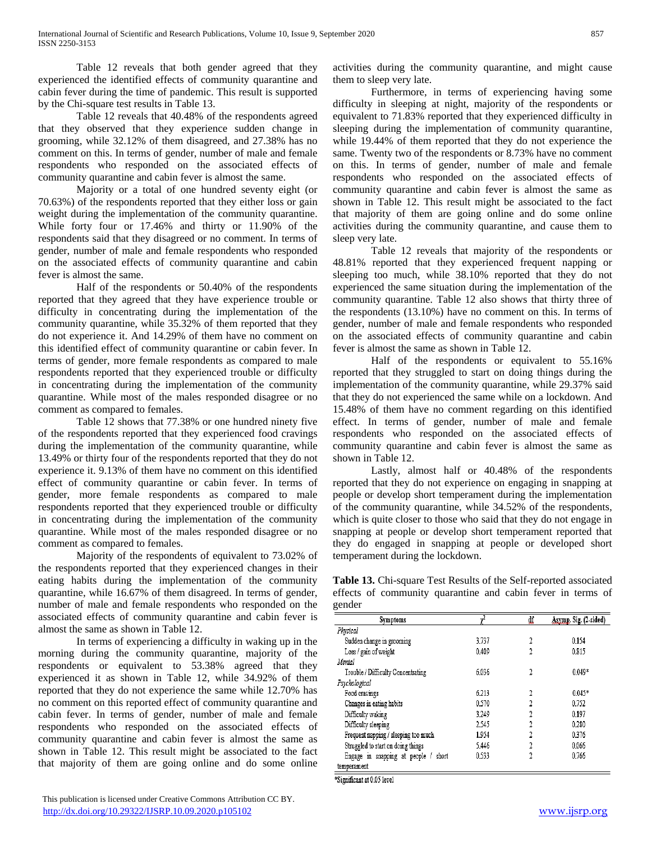Table 12 reveals that both gender agreed that they experienced the identified effects of community quarantine and cabin fever during the time of pandemic. This result is supported by the Chi-square test results in Table 13.

Table 12 reveals that 40.48% of the respondents agreed that they observed that they experience sudden change in grooming, while 32.12% of them disagreed, and 27.38% has no comment on this. In terms of gender, number of male and female respondents who responded on the associated effects of community quarantine and cabin fever is almost the same.

Majority or a total of one hundred seventy eight (or 70.63%) of the respondents reported that they either loss or gain weight during the implementation of the community quarantine. While forty four or 17.46% and thirty or 11.90% of the respondents said that they disagreed or no comment. In terms of gender, number of male and female respondents who responded on the associated effects of community quarantine and cabin fever is almost the same.

Half of the respondents or 50.40% of the respondents reported that they agreed that they have experience trouble or difficulty in concentrating during the implementation of the community quarantine, while 35.32% of them reported that they do not experience it. And 14.29% of them have no comment on this identified effect of community quarantine or cabin fever. In terms of gender, more female respondents as compared to male respondents reported that they experienced trouble or difficulty in concentrating during the implementation of the community quarantine. While most of the males responded disagree or no comment as compared to females.

Table 12 shows that 77.38% or one hundred ninety five of the respondents reported that they experienced food cravings during the implementation of the community quarantine, while 13.49% or thirty four of the respondents reported that they do not experience it. 9.13% of them have no comment on this identified effect of community quarantine or cabin fever. In terms of gender, more female respondents as compared to male respondents reported that they experienced trouble or difficulty in concentrating during the implementation of the community quarantine. While most of the males responded disagree or no comment as compared to females.

Majority of the respondents of equivalent to 73.02% of the respondents reported that they experienced changes in their eating habits during the implementation of the community quarantine, while 16.67% of them disagreed. In terms of gender, number of male and female respondents who responded on the associated effects of community quarantine and cabin fever is almost the same as shown in Table 12.

In terms of experiencing a difficulty in waking up in the morning during the community quarantine, majority of the respondents or equivalent to 53.38% agreed that they experienced it as shown in Table 12, while 34.92% of them reported that they do not experience the same while 12.70% has no comment on this reported effect of community quarantine and cabin fever. In terms of gender, number of male and female respondents who responded on the associated effects of community quarantine and cabin fever is almost the same as shown in Table 12. This result might be associated to the fact that majority of them are going online and do some online

activities during the community quarantine, and might cause them to sleep very late.

Furthermore, in terms of experiencing having some difficulty in sleeping at night, majority of the respondents or equivalent to 71.83% reported that they experienced difficulty in sleeping during the implementation of community quarantine, while 19.44% of them reported that they do not experience the same. Twenty two of the respondents or 8.73% have no comment on this. In terms of gender, number of male and female respondents who responded on the associated effects of community quarantine and cabin fever is almost the same as shown in Table 12. This result might be associated to the fact that majority of them are going online and do some online activities during the community quarantine, and cause them to sleep very late.

Table 12 reveals that majority of the respondents or 48.81% reported that they experienced frequent napping or sleeping too much, while 38.10% reported that they do not experienced the same situation during the implementation of the community quarantine. Table 12 also shows that thirty three of the respondents (13.10%) have no comment on this. In terms of gender, number of male and female respondents who responded on the associated effects of community quarantine and cabin fever is almost the same as shown in Table 12.

Half of the respondents or equivalent to 55.16% reported that they struggled to start on doing things during the implementation of the community quarantine, while 29.37% said that they do not experienced the same while on a lockdown. And 15.48% of them have no comment regarding on this identified effect. In terms of gender, number of male and female respondents who responded on the associated effects of community quarantine and cabin fever is almost the same as shown in Table 12.

Lastly, almost half or 40.48% of the respondents reported that they do not experience on engaging in snapping at people or develop short temperament during the implementation of the community quarantine, while 34.52% of the respondents, which is quite closer to those who said that they do not engage in snapping at people or develop short temperament reported that they do engaged in snapping at people or developed short temperament during the lockdown.

**Table 13.** Chi-square Test Results of the Self-reported associated effects of community quarantine and cabin fever in terms of gender

| <b>Symptoms</b>                      |       | df | Asymp. Sig. (2-sided) |  |
|--------------------------------------|-------|----|-----------------------|--|
| Physical                             |       |    |                       |  |
| Sudden change in grooming            | 3.737 | 2  | 0.154                 |  |
| Loss / gain of weight                | 0.409 | 2  | 0.815                 |  |
| Mental                               |       |    |                       |  |
| Trouble / Difficulty Concentrating   | 6.036 | 2  | $0.049*$              |  |
| Psychological                        |       |    |                       |  |
| Food cravings                        | 6.213 | 2  | $0.045*$              |  |
| Changes in eating habits             | 0.570 |    | 0.752                 |  |
| Difficulty waking                    | 3.249 | 2  | 0.197                 |  |
| Difficulty sleeping                  | 2.545 | 7  | 0.280                 |  |
| Frequent napping / sleeping too much | 1.954 | 2  | 0.376                 |  |
| Struggled to start on doing things   | 5.446 | າ  | 0.066                 |  |
| Engage in snapping at people / short | 0.533 | 2  | 0.766                 |  |
| temperament                          |       |    |                       |  |

\*Significant at 0.05 level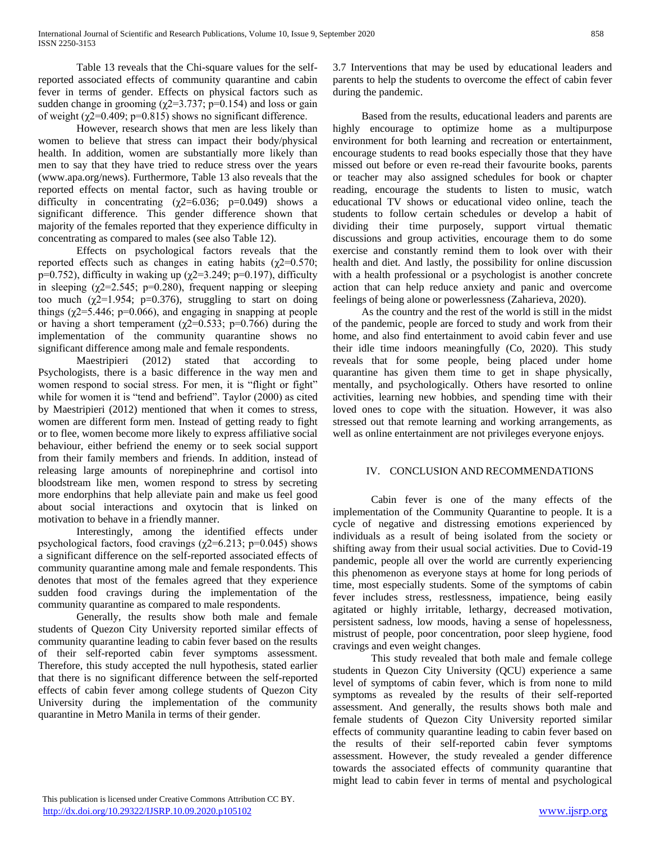Table 13 reveals that the Chi-square values for the selfreported associated effects of community quarantine and cabin fever in terms of gender. Effects on physical factors such as sudden change in grooming ( $\chi$ 2=3.737; p=0.154) and loss or gain of weight ( $χ$ 2=0.409;  $p$ =0.815) shows no significant difference.

However, research shows that men are less likely than women to believe that stress can impact their body/physical health. In addition, women are substantially more likely than men to say that they have tried to reduce stress over the years (www.apa.org/news). Furthermore, Table 13 also reveals that the reported effects on mental factor, such as having trouble or difficulty in concentrating  $(\gamma 2=6.036; \text{ p}=0.049)$  shows a significant difference. This gender difference shown that majority of the females reported that they experience difficulty in concentrating as compared to males (see also Table 12).

Effects on psychological factors reveals that the reported effects such as changes in eating habits ( $χ$ 2=0.570; p=0.752), difficulty in waking up ( $\chi$ 2=3.249; p=0.197), difficulty in sleeping ( $\chi$ 2=2.545; p=0.280), frequent napping or sleeping too much ( $\gamma$ 2=1.954; p=0.376), struggling to start on doing things ( $\chi$ 2=5.446; p=0.066), and engaging in snapping at people or having a short temperament ( $\chi$ 2=0.533; p=0.766) during the implementation of the community quarantine shows no significant difference among male and female respondents.

Maestripieri (2012) stated that according to Psychologists, there is a basic difference in the way men and women respond to social stress. For men, it is "flight or fight" while for women it is "tend and befriend". Taylor (2000) as cited by Maestripieri (2012) mentioned that when it comes to stress, women are different form men. Instead of getting ready to fight or to flee, women become more likely to express affiliative social behaviour, either befriend the enemy or to seek social support from their family members and friends. In addition, instead of releasing large amounts of norepinephrine and cortisol into bloodstream like men, women respond to stress by secreting more endorphins that help alleviate pain and make us feel good about social interactions and oxytocin that is linked on motivation to behave in a friendly manner.

Interestingly, among the identified effects under psychological factors, food cravings ( $\chi$ 2=6.213; p=0.045) shows a significant difference on the self-reported associated effects of community quarantine among male and female respondents. This denotes that most of the females agreed that they experience sudden food cravings during the implementation of the community quarantine as compared to male respondents.

Generally, the results show both male and female students of Quezon City University reported similar effects of community quarantine leading to cabin fever based on the results of their self-reported cabin fever symptoms assessment. Therefore, this study accepted the null hypothesis, stated earlier that there is no significant difference between the self-reported effects of cabin fever among college students of Quezon City University during the implementation of the community quarantine in Metro Manila in terms of their gender.

3.7 Interventions that may be used by educational leaders and parents to help the students to overcome the effect of cabin fever during the pandemic.

Based from the results, educational leaders and parents are highly encourage to optimize home as a multipurpose environment for both learning and recreation or entertainment, encourage students to read books especially those that they have missed out before or even re-read their favourite books, parents or teacher may also assigned schedules for book or chapter reading, encourage the students to listen to music, watch educational TV shows or educational video online, teach the students to follow certain schedules or develop a habit of dividing their time purposely, support virtual thematic discussions and group activities, encourage them to do some exercise and constantly remind them to look over with their health and diet. And lastly, the possibility for online discussion with a health professional or a psychologist is another concrete action that can help reduce anxiety and panic and overcome feelings of being alone or powerlessness (Zaharieva, 2020).

As the country and the rest of the world is still in the midst of the pandemic, people are forced to study and work from their home, and also find entertainment to avoid cabin fever and use their idle time indoors meaningfully (Co, 2020). This study reveals that for some people, being placed under home quarantine has given them time to get in shape physically, mentally, and psychologically. Others have resorted to online activities, learning new hobbies, and spending time with their loved ones to cope with the situation. However, it was also stressed out that remote learning and working arrangements, as well as online entertainment are not privileges everyone enjoys.

# IV. CONCLUSION AND RECOMMENDATIONS

Cabin fever is one of the many effects of the implementation of the Community Quarantine to people. It is a cycle of negative and distressing emotions experienced by individuals as a result of being isolated from the society or shifting away from their usual social activities. Due to Covid-19 pandemic, people all over the world are currently experiencing this phenomenon as everyone stays at home for long periods of time, most especially students. Some of the symptoms of cabin fever includes stress, restlessness, impatience, being easily agitated or highly irritable, lethargy, decreased motivation, persistent sadness, low moods, having a sense of hopelessness, mistrust of people, poor concentration, poor sleep hygiene, food cravings and even weight changes.

This study revealed that both male and female college students in Quezon City University (QCU) experience a same level of symptoms of cabin fever, which is from none to mild symptoms as revealed by the results of their self-reported assessment. And generally, the results shows both male and female students of Quezon City University reported similar effects of community quarantine leading to cabin fever based on the results of their self-reported cabin fever symptoms assessment. However, the study revealed a gender difference towards the associated effects of community quarantine that might lead to cabin fever in terms of mental and psychological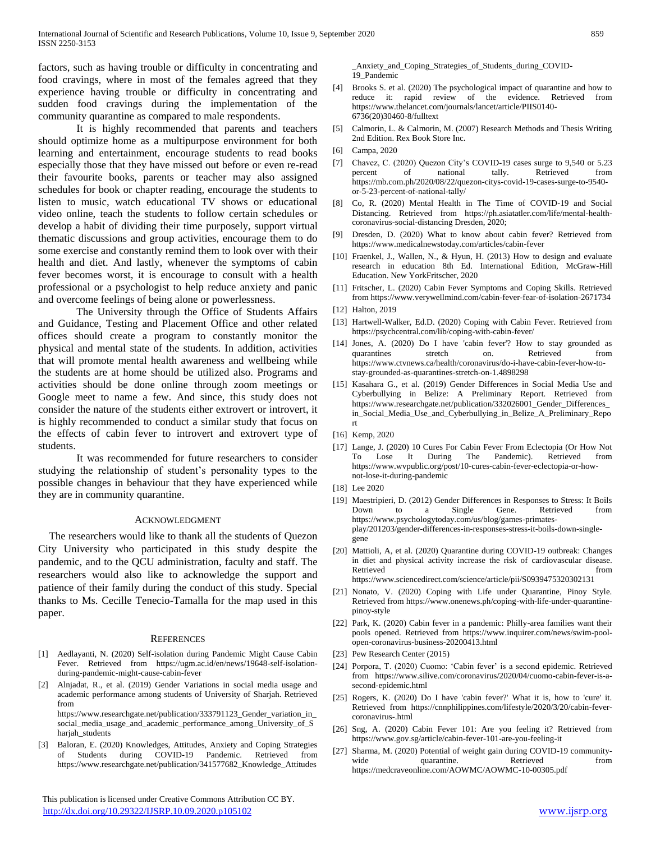factors, such as having trouble or difficulty in concentrating and food cravings, where in most of the females agreed that they experience having trouble or difficulty in concentrating and sudden food cravings during the implementation of the community quarantine as compared to male respondents.

It is highly recommended that parents and teachers should optimize home as a multipurpose environment for both learning and entertainment, encourage students to read books especially those that they have missed out before or even re-read their favourite books, parents or teacher may also assigned schedules for book or chapter reading, encourage the students to listen to music, watch educational TV shows or educational video online, teach the students to follow certain schedules or develop a habit of dividing their time purposely, support virtual thematic discussions and group activities, encourage them to do some exercise and constantly remind them to look over with their health and diet. And lastly, whenever the symptoms of cabin fever becomes worst, it is encourage to consult with a health professional or a psychologist to help reduce anxiety and panic and overcome feelings of being alone or powerlessness.

The University through the Office of Students Affairs and Guidance, Testing and Placement Office and other related offices should create a program to constantly monitor the physical and mental state of the students. In addition, activities that will promote mental health awareness and wellbeing while the students are at home should be utilized also. Programs and activities should be done online through zoom meetings or Google meet to name a few. And since, this study does not consider the nature of the students either extrovert or introvert, it is highly recommended to conduct a similar study that focus on the effects of cabin fever to introvert and extrovert type of students.

It was recommended for future researchers to consider studying the relationship of student's personality types to the possible changes in behaviour that they have experienced while they are in community quarantine.

#### ACKNOWLEDGMENT

The researchers would like to thank all the students of Quezon City University who participated in this study despite the pandemic, and to the QCU administration, faculty and staff. The researchers would also like to acknowledge the support and patience of their family during the conduct of this study. Special thanks to Ms. Cecille Tenecio-Tamalla for the map used in this paper.

#### **REFERENCES**

- [1] Aedlayanti, N. (2020) Self-isolation during Pandemic Might Cause Cabin Fever. Retrieved from https://ugm.ac.id/en/news/19648-self-isolationduring-pandemic-might-cause-cabin-fever
- [2] Alnjadat, R., et al. (2019) Gender Variations in social media usage and academic performance among students of University of Sharjah. Retrieved from

https://www.researchgate.net/publication/333791123\_Gender\_variation\_in\_ social\_media\_usage\_and\_academic\_performance\_among\_University\_of\_S harjah\_students

[3] Baloran, E. (2020) Knowledges, Attitudes, Anxiety and Coping Strategies of Students during COVID-19 Pandemic. Retrieved from https://www.researchgate.net/publication/341577682\_Knowledge\_Attitudes

 This publication is licensed under Creative Commons Attribution CC BY. <http://dx.doi.org/10.29322/IJSRP.10.09.2020.p105102> [www.ijsrp.org](http://ijsrp.org/)

\_Anxiety\_and\_Coping\_Strategies\_of\_Students\_during\_COVID-19\_Pandemic

- [4] Brooks S. et al. (2020) The psychological impact of quarantine and how to reduce it: rapid review of the evidence. Retrieved from https://www.thelancet.com/journals/lancet/article/PIIS0140- 6736(20)30460-8/fulltext
- [5] Calmorin, L. & Calmorin, M. (2007) Research Methods and Thesis Writing 2nd Edition. Rex Book Store Inc.
- [6] Campa, 2020
- [7] Chavez, C. (2020) Quezon City's COVID-19 cases surge to 9,540 or 5.23 percent of national tally. Retrieved from https://mb.com.ph/2020/08/22/quezon-citys-covid-19-cases-surge-to-9540 or-5-23-percent-of-national-tally/
- [8] Co, R. (2020) Mental Health in The Time of COVID-19 and Social Distancing. Retrieved from https://ph.asiatatler.com/life/mental-healthcoronavirus-social-distancing Dresden, 2020;
- [9] Dresden, D. (2020) What to know about cabin fever? Retrieved from https://www.medicalnewstoday.com/articles/cabin-fever
- [10] Fraenkel, J., Wallen, N., & Hyun, H. (2013) How to design and evaluate research in education 8th Ed. International Edition, McGraw-Hill Education. New YorkFritscher, 2020
- [11] Fritscher, L. (2020) Cabin Fever Symptoms and Coping Skills. Retrieved from https://www.verywellmind.com/cabin-fever-fear-of-isolation-2671734
- [12] Halton, 2019
- [13] Hartwell-Walker, Ed.D. (2020) Coping with Cabin Fever. Retrieved from https://psychcentral.com/lib/coping-with-cabin-fever/
- [14] Jones, A. (2020) Do I have 'cabin fever'? How to stay grounded as quarantines stretch on. Retrieved from https://www.ctvnews.ca/health/coronavirus/do-i-have-cabin-fever-how-tostay-grounded-as-quarantines-stretch-on-1.4898298
- [15] Kasahara G., et al. (2019) Gender Differences in Social Media Use and Cyberbullying in Belize: A Preliminary Report. Retrieved from https://www.researchgate.net/publication/332026001\_Gender\_Differences\_ in\_Social\_Media\_Use\_and\_Cyberbullying\_in\_Belize\_A\_Preliminary\_Repo rt
- [16] Kemp, 2020
- [17] Lange, J. (2020) 10 Cures For Cabin Fever From Eclectopia (Or How Not To Lose It During The Pandemic). Retrieved from https://www.wvpublic.org/post/10-cures-cabin-fever-eclectopia-or-hownot-lose-it-during-pandemic
- [18] Lee 2020
- [19] Maestripieri, D. (2012) Gender Differences in Responses to Stress: It Boils Down to a Single Gene. Retrieved from https://www.psychologytoday.com/us/blog/games-primatesplay/201203/gender-differences-in-responses-stress-it-boils-down-singlegene
- [20] Mattioli, A, et al. (2020) Quarantine during COVID-19 outbreak: Changes in diet and physical activity increase the risk of cardiovascular disease. Retrieved from the set of  $\sim$  from the set of  $\sim$  from the set of  $\sim$  from the set of  $\sim$  from the set of  $\sim$  from the set of  $\sim$  from the set of  $\sim$  from the set of  $\sim$  from the set of  $\sim$  from the set of  $\sim$  fr
	- https://www.sciencedirect.com/science/article/pii/S0939475320302131
- [21] Nonato, V. (2020) Coping with Life under Quarantine, Pinoy Style. Retrieved from https://www.onenews.ph/coping-with-life-under-quarantinepinoy-style
- [22] Park, K. (2020) Cabin fever in a pandemic: Philly-area families want their pools opened. Retrieved from https://www.inquirer.com/news/swim-poolopen-coronavirus-business-20200413.html
- [23] Pew Research Center (2015)
- [24] Porpora, T. (2020) Cuomo: 'Cabin fever' is a second epidemic. Retrieved from https://www.silive.com/coronavirus/2020/04/cuomo-cabin-fever-is-asecond-epidemic.html
- [25] Rogers, K. (2020) Do I have 'cabin fever?' What it is, how to 'cure' it. Retrieved from https://cnnphilippines.com/lifestyle/2020/3/20/cabin-fevercoronavirus-.html
- [26] Sng, A. (2020) Cabin Fever 101: Are you feeling it? Retrieved from https://www.gov.sg/article/cabin-fever-101-are-you-feeling-it
- [27] Sharma, M. (2020) Potential of weight gain during COVID-19 communitywide quarantine. Retrieved from https://medcraveonline.com/AOWMC/AOWMC-10-00305.pdf